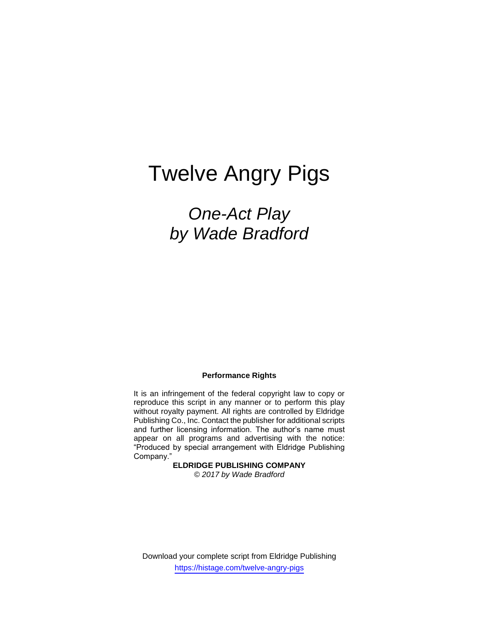# Twelve Angry Pigs

## *One-Act Play by Wade Bradford*

#### **Performance Rights**

It is an infringement of the federal copyright law to copy or reproduce this script in any manner or to perform this play without royalty payment. All rights are controlled by Eldridge Publishing Co., Inc. Contact the publisher for additional scripts and further licensing information. The author's name must appear on all programs and advertising with the notice: "Produced by special arrangement with Eldridge Publishing Company."

> **ELDRIDGE PUBLISHING COMPANY** *© 2017 by Wade Bradford*

Download your complete script from Eldridge Publishing https://histage.com/twelve-angry-pigs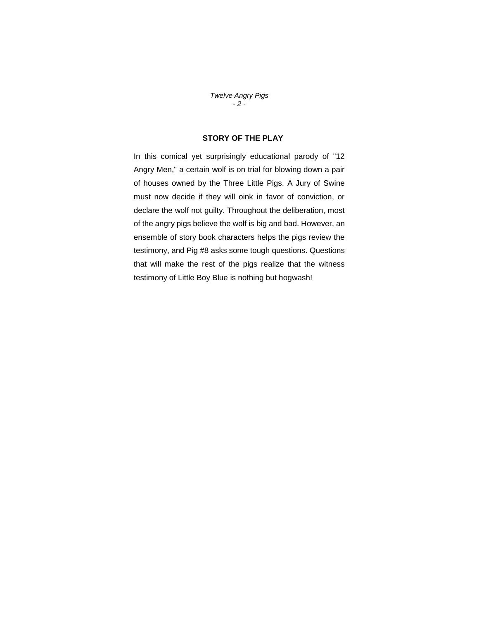*Twelve Angry Pigs - 2 -*

#### **STORY OF THE PLAY**

In this comical yet surprisingly educational parody of "12 Angry Men," a certain wolf is on trial for blowing down a pair of houses owned by the Three Little Pigs. A Jury of Swine must now decide if they will oink in favor of conviction, or declare the wolf not guilty. Throughout the deliberation, most of the angry pigs believe the wolf is big and bad. However, an ensemble of story book characters helps the pigs review the testimony, and Pig #8 asks some tough questions. Questions that will make the rest of the pigs realize that the witness testimony of Little Boy Blue is nothing but hogwash!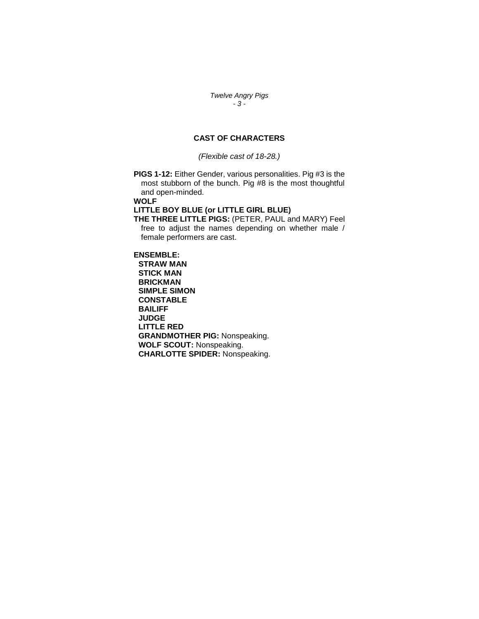*Twelve Angry Pigs - 3 -*

#### **CAST OF CHARACTERS**

*(Flexible cast of 18-28.)*

**PIGS 1-12:** Either Gender, various personalities. Pig #3 is the most stubborn of the bunch. Pig #8 is the most thoughtful and open-minded.

**WOLF**

#### **LITTLE BOY BLUE (or LITTLE GIRL BLUE)**

**THE THREE LITTLE PIGS:** (PETER, PAUL and MARY) Feel free to adjust the names depending on whether male / female performers are cast.

#### **ENSEMBLE:**

**STRAW MAN STICK MAN BRICKMAN SIMPLE SIMON CONSTABLE BAILIFF JUDGE LITTLE RED GRANDMOTHER PIG:** Nonspeaking. **WOLF SCOUT:** Nonspeaking. **CHARLOTTE SPIDER:** Nonspeaking.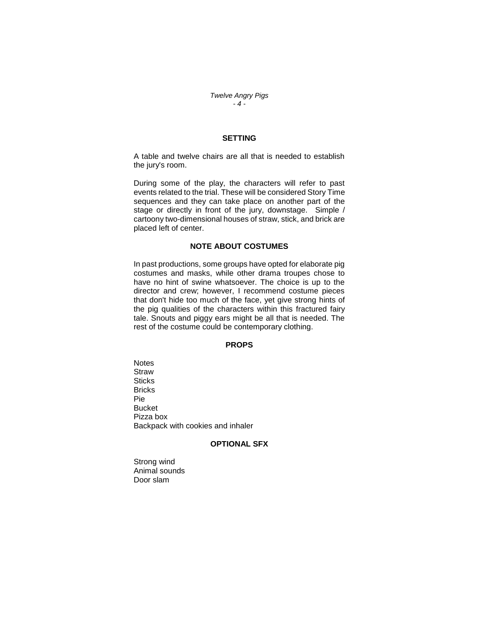*Twelve Angry Pigs - 4 -*

#### **SETTING**

A table and twelve chairs are all that is needed to establish the jury's room.

During some of the play, the characters will refer to past events related to the trial. These will be considered Story Time sequences and they can take place on another part of the stage or directly in front of the jury, downstage. Simple / cartoony two-dimensional houses of straw, stick, and brick are placed left of center.

#### **NOTE ABOUT COSTUMES**

In past productions, some groups have opted for elaborate pig costumes and masks, while other drama troupes chose to have no hint of swine whatsoever. The choice is up to the director and crew; however, I recommend costume pieces that don't hide too much of the face, yet give strong hints of the pig qualities of the characters within this fractured fairy tale. Snouts and piggy ears might be all that is needed. The rest of the costume could be contemporary clothing.

#### **PROPS**

**Notes Straw Sticks Bricks** Pie Bucket Pizza box Backpack with cookies and inhaler

#### **OPTIONAL SFX**

Strong wind Animal sounds Door slam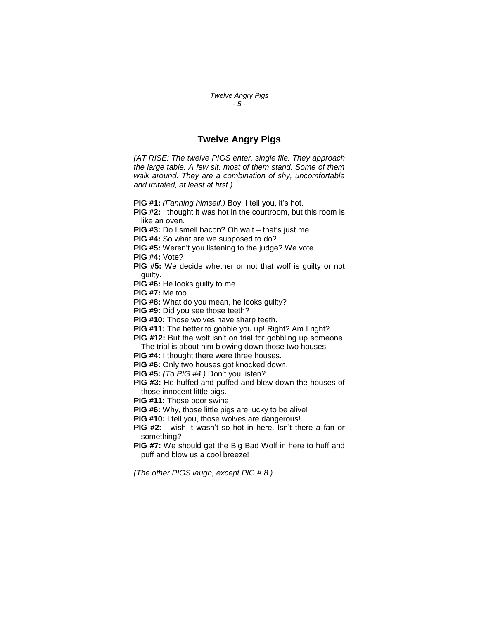#### *Twelve Angry Pigs - 5 -*

#### **Twelve Angry Pigs**

*(AT RISE: The twelve PIGS enter, single file. They approach the large table. A few sit, most of them stand. Some of them walk around. They are a combination of shy, uncomfortable and irritated, at least at first.)*

**PIG #1:** *(Fanning himself.)* Boy, I tell you, it's hot.

- **PIG #2:** I thought it was hot in the courtroom, but this room is like an oven.
- **PIG #3:** Do I smell bacon? Oh wait that's just me.

**PIG #4:** So what are we supposed to do?

**PIG #5:** Weren't you listening to the judge? We vote.

**PIG #4:** Vote?

- **PIG #5:** We decide whether or not that wolf is guilty or not guilty.
- **PIG #6:** He looks guilty to me.

**PIG #7:** Me too.

**PIG #8:** What do you mean, he looks guilty?

**PIG #9:** Did you see those teeth?

**PIG #10:** Those wolves have sharp teeth.

- **PIG #11:** The better to gobble you up! Right? Am I right?
- **PIG #12:** But the wolf isn't on trial for gobbling up someone. The trial is about him blowing down those two houses.
- **PIG #4:** I thought there were three houses.
- **PIG #6:** Only two houses got knocked down.
- **PIG #5:** *(To PIG #4.)* Don't you listen?
- **PIG #3:** He huffed and puffed and blew down the houses of those innocent little pigs.
- **PIG #11:** Those poor swine.
- **PIG #6:** Why, those little pigs are lucky to be alive!
- **PIG #10:** I tell you, those wolves are dangerous!
- **PIG #2:** I wish it wasn't so hot in here. Isn't there a fan or something?
- **PIG #7:** We should get the Big Bad Wolf in here to huff and puff and blow us a cool breeze!

*(The other PIGS laugh, except PIG # 8.)*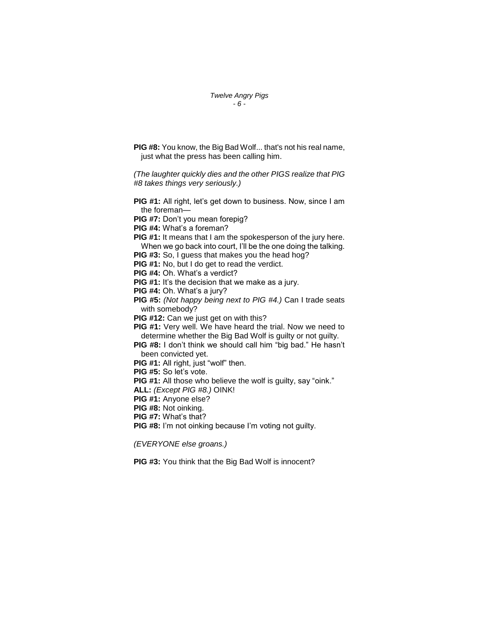#### *Twelve Angry Pigs - 6 -*

**PIG #8:** You know, the Big Bad Wolf... that's not his real name, just what the press has been calling him.

*(The laughter quickly dies and the other PIGS realize that PIG #8 takes things very seriously.)*

- **PIG #1:** All right, let's get down to business. Now, since I am the foreman—
- **PIG #7:** Don't you mean forepig?
- **PIG #4:** What's a foreman?
- **PIG #1:** It means that I am the spokesperson of the jury here. When we go back into court, I'll be the one doing the talking.
- **PIG #3:** So, I guess that makes you the head hog?

**PIG #1:** No, but I do get to read the verdict.

- **PIG #4:** Oh. What's a verdict?
- **PIG #1:** It's the decision that we make as a jury.
- **PIG #4:** Oh. What's a jury?
- **PIG #5:** *(Not happy being next to PIG #4.)* Can I trade seats with somebody?

**PIG #12:** Can we just get on with this?

**PIG #1:** Very well. We have heard the trial. Now we need to determine whether the Big Bad Wolf is guilty or not guilty.

**PIG #8:** I don't think we should call him "big bad." He hasn't been convicted yet.

- **PIG #1:** All right, just "wolf" then.
- **PIG #5:** So let's vote.
- **PIG #1:** All those who believe the wolf is guilty, say "oink."
- **ALL:** *(Except PIG #8.)* OINK!
- **PIG #1:** Anyone else?
- **PIG #8:** Not oinking.
- **PIG #7:** What's that?
- **PIG #8:** I'm not oinking because I'm voting not guilty.
- *(EVERYONE else groans.)*

**PIG #3:** You think that the Big Bad Wolf is innocent?